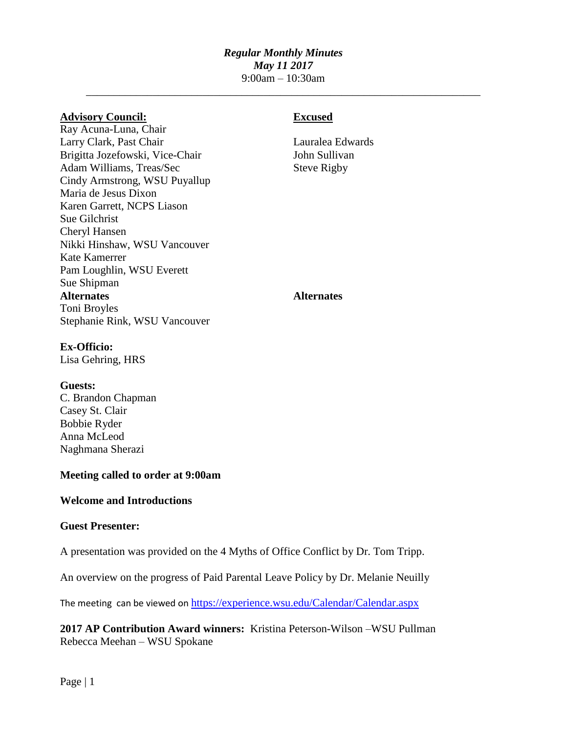# *Regular Monthly Minutes May 11 2017* 9:00am – 10:30am

\_\_\_\_\_\_\_\_\_\_\_\_\_\_\_\_\_\_\_\_\_\_\_\_\_\_\_\_\_\_\_\_\_\_\_\_\_\_\_\_\_\_\_\_\_\_\_\_\_\_\_\_\_\_\_\_\_\_\_\_\_\_\_\_\_\_\_\_\_\_\_

## **Advisory Council: Excused**

Ray Acuna-Luna, Chair Larry Clark, Past Chair Lauralea Edwards Brigitta Jozefowski, Vice-Chair John Sullivan Adam Williams, Treas/Sec Steve Rigby Cindy Armstrong, WSU Puyallup Maria de Jesus Dixon Karen Garrett, NCPS Liason Sue Gilchrist Cheryl Hansen Nikki Hinshaw, WSU Vancouver Kate Kamerrer Pam Loughlin, WSU Everett Sue Shipman **Alternates Alternates** Toni Broyles Stephanie Rink, WSU Vancouver

## **Ex-Officio:**

Lisa Gehring, HRS

### **Guests:**

C. Brandon Chapman Casey St. Clair Bobbie Ryder Anna McLeod Naghmana Sherazi

## **Meeting called to order at 9:00am**

### **Welcome and Introductions**

### **Guest Presenter:**

A presentation was provided on the 4 Myths of Office Conflict by Dr. Tom Tripp.

An overview on the progress of Paid Parental Leave Policy by Dr. Melanie Neuilly

The meeting can be viewed on https://experience.wsu.edu/Calendar/Calendar.aspx

**2017 AP Contribution Award winners:** Kristina Peterson-Wilson –WSU Pullman Rebecca Meehan – WSU Spokane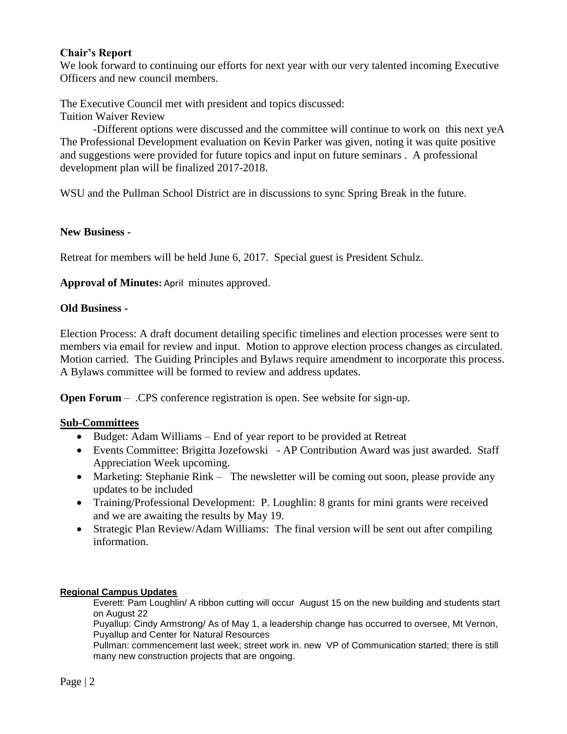## **Chair's Report**

We look forward to continuing our efforts for next year with our very talented incoming Executive Officers and new council members.

The Executive Council met with president and topics discussed: Tuition Waiver Review

-Different options were discussed and the committee will continue to work on this next yeA The Professional Development evaluation on Kevin Parker was given, noting it was quite positive and suggestions were provided for future topics and input on future seminars . A professional development plan will be finalized 2017-2018.

WSU and the Pullman School District are in discussions to sync Spring Break in the future.

## **New Business -**

Retreat for members will be held June 6, 2017. Special guest is President Schulz.

**Approval of Minutes:** April minutes approved.

## **Old Business -**

Election Process: A draft document detailing specific timelines and election processes were sent to members via email for review and input. Motion to approve election process changes as circulated. Motion carried. The Guiding Principles and Bylaws require amendment to incorporate this process. A Bylaws committee will be formed to review and address updates.

**Open Forum** – .CPS conference registration is open. See website for sign-up.

## **Sub-Committees**

- Budget: Adam Williams End of year report to be provided at Retreat
- Events Committee: Brigitta Jozefowski AP Contribution Award was just awarded. Staff Appreciation Week upcoming.
- Marketing: Stephanie Rink The newsletter will be coming out soon, please provide any updates to be included
- Training/Professional Development: P. Loughlin: 8 grants for mini grants were received and we are awaiting the results by May 19.
- Strategic Plan Review/Adam Williams: The final version will be sent out after compiling information.

### **Regional Campus Updates**

Everett: Pam Loughlin/ A ribbon cutting will occur August 15 on the new building and students start on August 22

Puyallup: Cindy Armstrong/ As of May 1, a leadership change has occurred to oversee, Mt Vernon, Puyallup and Center for Natural Resources

Pullman: commencement last week; street work in. new VP of Communication started; there is still many new construction projects that are ongoing.